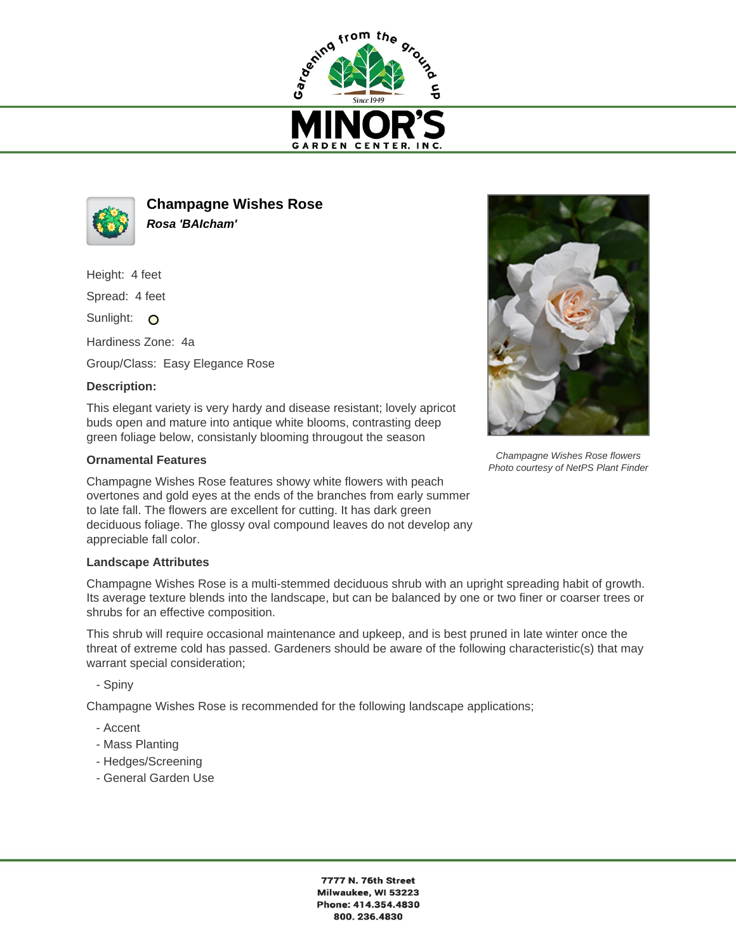



**Champagne Wishes Rose Rosa 'BAIcham'**

Height: 4 feet

Spread: 4 feet

Sunlight: O

Hardiness Zone: 4a

Group/Class: Easy Elegance Rose

## **Description:**

This elegant variety is very hardy and disease resistant; lovely apricot buds open and mature into antique white blooms, contrasting deep green foliage below, consistanly blooming througout the season

## **Ornamental Features**

Champagne Wishes Rose features showy white flowers with peach overtones and gold eyes at the ends of the branches from early summer to late fall. The flowers are excellent for cutting. It has dark green deciduous foliage. The glossy oval compound leaves do not develop any appreciable fall color.

## **Landscape Attributes**

Champagne Wishes Rose is a multi-stemmed deciduous shrub with an upright spreading habit of growth. Its average texture blends into the landscape, but can be balanced by one or two finer or coarser trees or shrubs for an effective composition.

This shrub will require occasional maintenance and upkeep, and is best pruned in late winter once the threat of extreme cold has passed. Gardeners should be aware of the following characteristic(s) that may warrant special consideration;

- Spiny

Champagne Wishes Rose is recommended for the following landscape applications;

- Accent
- Mass Planting
- Hedges/Screening
- General Garden Use



Champagne Wishes Rose flowers Photo courtesy of NetPS Plant Finder